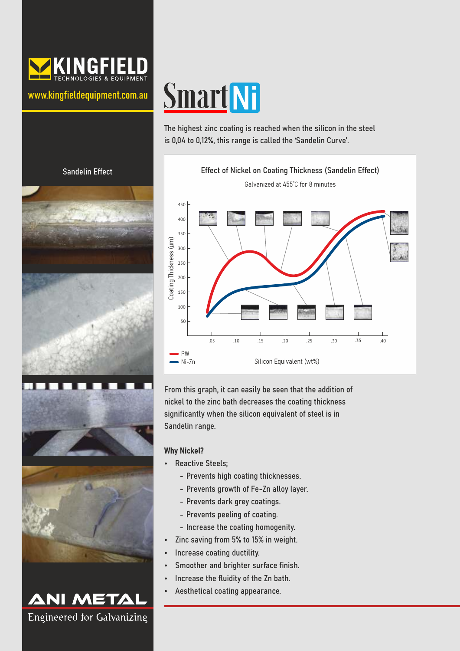

www.kingfieldequipment.com.au

Sandelin Effect

ø

**ANI METAL** 

Engineered for Galvanizing

# **Smart Ni**

The highest zinc coating is reached when the silicon in the steel is 0,04 to 0,12%, this range is called the 'Sandelin Curve'.



From this graph, it can easily be seen that the addition of nickel to the zinc bath decreases the coating thickness significantly when the silicon equivalent of steel is in Sandelin range.

## Why Nickel?

- Reactive Steels;
	- Prevents high coating thicknesses.
	- Prevents growth of Fe-Zn alloy layer.
	- Prevents dark grey coatings.
	- Prevents peeling of coating.
	- Increase the coating homogenity.
- Zinc saving from 5% to 15% in weight.
- Increase coating ductility.
- Smoother and brighter surface finish.
- Increase the fluidity of the Zn bath.
- Aesthetical coating appearance.